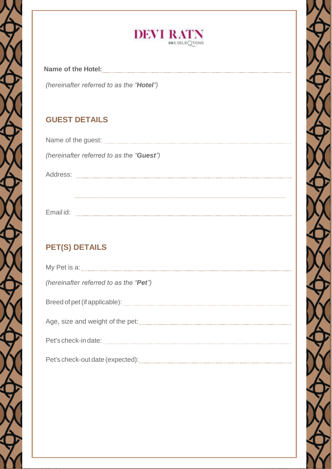

| Name of the Hotel:                                |  |
|---------------------------------------------------|--|
| (hereinafter referred to as the " <b>Hotel</b> ") |  |

## **GUEST DETAILS**

| Name of the guest: |                                          |
|--------------------|------------------------------------------|
|                    | (hereinafter referred to as the "Guest") |
| Address:           |                                          |
|                    |                                          |

Email id:

## **PET(S) DETAILS**

| (hereinafter referred to as the "Pet") |  |
|----------------------------------------|--|
|                                        |  |
|                                        |  |
|                                        |  |
|                                        |  |